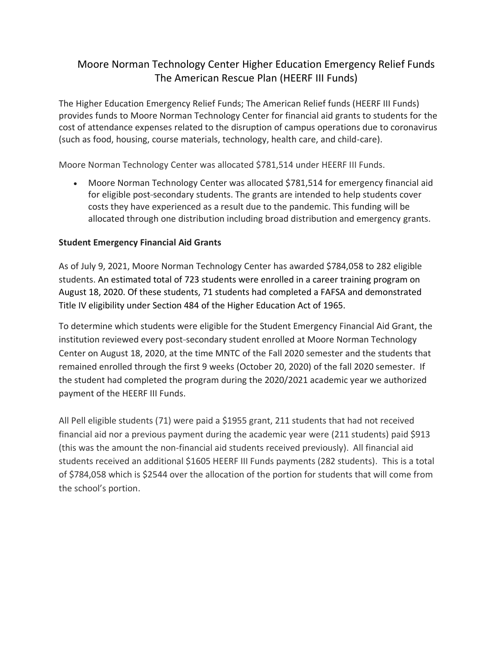## Moore Norman Technology Center Higher Education Emergency Relief Funds The American Rescue Plan (HEERF III Funds)

The Higher Education Emergency Relief Funds; The American Relief funds (HEERF III Funds) provides funds to Moore Norman Technology Center for financial aid grants to students for the cost of attendance expenses related to the disruption of campus operations due to coronavirus (such as food, housing, course materials, technology, health care, and child-care).

Moore Norman Technology Center was allocated \$781,514 under HEERF III Funds.

• Moore Norman Technology Center was allocated \$781,514 for emergency financial aid for eligible post-secondary students. The grants are intended to help students cover costs they have experienced as a result due to the pandemic. This funding will be allocated through one distribution including broad distribution and emergency grants.

## **Student Emergency Financial Aid Grants**

As of July 9, 2021, Moore Norman Technology Center has awarded \$784,058 to 282 eligible students. An estimated total of 723 students were enrolled in a career training program on August 18, 2020. Of these students, 71 students had completed a FAFSA and demonstrated Title IV eligibility under Section 484 of the Higher Education Act of 1965.

To determine which students were eligible for the Student Emergency Financial Aid Grant, the institution reviewed every post-secondary student enrolled at Moore Norman Technology Center on August 18, 2020, at the time MNTC of the Fall 2020 semester and the students that remained enrolled through the first 9 weeks (October 20, 2020) of the fall 2020 semester. If the student had completed the program during the 2020/2021 academic year we authorized payment of the HEERF III Funds.

All Pell eligible students (71) were paid a \$1955 grant, 211 students that had not received financial aid nor a previous payment during the academic year were (211 students) paid \$913 (this was the amount the non-financial aid students received previously). All financial aid students received an additional \$1605 HEERF III Funds payments (282 students). This is a total of \$784,058 which is \$2544 over the allocation of the portion for students that will come from the school's portion.